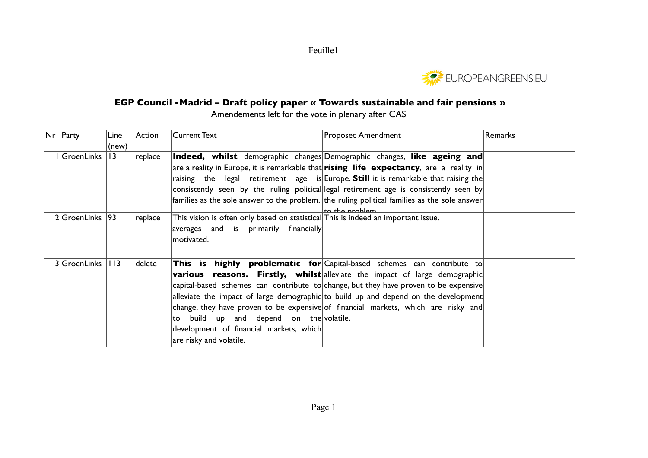Feuille1



## **EGP Council -Madrid – Draft policy paper « Towards sustainable and fair pensions »**

Amendements left for the vote in plenary after CAS

| Nr   Party         | Line  | Action  | Current Text                                                                                                                  | <b>Proposed Amendment</b>                                                                                      | Remarks |
|--------------------|-------|---------|-------------------------------------------------------------------------------------------------------------------------------|----------------------------------------------------------------------------------------------------------------|---------|
|                    | (new) |         |                                                                                                                               |                                                                                                                |         |
| I GroenLinks   13  |       | replace |                                                                                                                               | <b>Indeed, whilst</b> demographic changes Demographic changes, like ageing and                                 |         |
|                    |       |         |                                                                                                                               | are a reality in Europe, it is remarkable that <b>rising life expectancy</b> , are a reality in                |         |
|                    |       |         |                                                                                                                               | raising the legal retirement age is Europe. Still it is remarkable that raising the                            |         |
|                    |       |         |                                                                                                                               | consistently seen by the ruling political legal retirement age is consistently seen by                         |         |
|                    |       |         |                                                                                                                               | families as the sole answer to the problem. the ruling political families as the sole answer<br>to the problem |         |
| 2 GroenLinks 93    |       | replace | This vision is often only based on statistical This is indeed an important issue.<br>$ averages$ and is primarily financially |                                                                                                                |         |
|                    |       |         | motivated.                                                                                                                    |                                                                                                                |         |
|                    |       |         |                                                                                                                               |                                                                                                                |         |
| 3 GroenLinks   113 |       | delete  |                                                                                                                               | <b>This is highly problematic for</b> Capital-based schemes can contribute to                                  |         |
|                    |       |         |                                                                                                                               | various reasons. Firstly, whilst alleviate the impact of large demographic                                     |         |
|                    |       |         |                                                                                                                               | capital-based schemes can contribute to change, but they have proven to be expensive                           |         |
|                    |       |         |                                                                                                                               | alleviate the impact of large demographic to build up and depend on the development                            |         |
|                    |       |         |                                                                                                                               | change, they have proven to be expensive of financial markets, which are risky and                             |         |
|                    |       |         | build up and depend on the volatile.<br>to                                                                                    |                                                                                                                |         |
|                    |       |         | development of financial markets, which                                                                                       |                                                                                                                |         |
|                    |       |         | are risky and volatile.                                                                                                       |                                                                                                                |         |